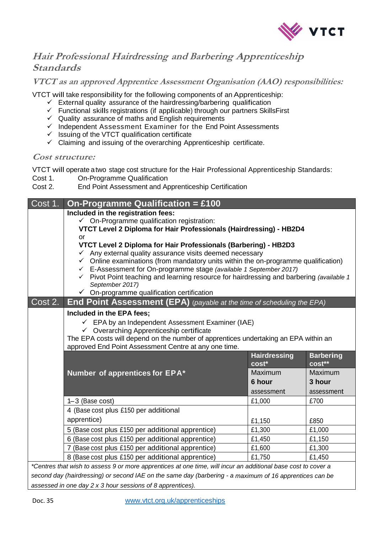

## **Hair Professional Hairdressing and Ba<sup>r</sup>bering Apprenticeship Standards**

**VTCT as an approved Apprentice Assessment Organisation (AAO) responsibilities:**

VTCT will take responsibility for the following components of an Apprenticeship:

- $\checkmark$  External quality assurance of the hairdressing/barbering qualification
- Functional skills registrations (if applicable) through our partners SkillsFirst
- $\checkmark$  Quality assurance of maths and English requirements
- $\checkmark$  Independent Assessment Examiner for the End Point Assessments
- $\checkmark$  Issuing of the VTCT qualification certificate
- $\checkmark$  Claiming and issuing of the overarching Apprenticeship certificate.

## **Cost structure:**

VTCT will operate a two stage cost structure for the Hair Professional Apprenticeship Standards:

- Cost 1. On-Programme Qualification
- Cost 2. End Point Assessment and Apprenticeship Certification

| Cost 1.                                                                                                       | <b>On-Programme Qualification = £100</b>                                                                                                                                          |                     |                  |
|---------------------------------------------------------------------------------------------------------------|-----------------------------------------------------------------------------------------------------------------------------------------------------------------------------------|---------------------|------------------|
|                                                                                                               | Included in the registration fees:                                                                                                                                                |                     |                  |
|                                                                                                               | $\checkmark$ On-Programme qualification registration:                                                                                                                             |                     |                  |
|                                                                                                               | VTCT Level 2 Diploma for Hair Professionals (Hairdressing) - HB2D4                                                                                                                |                     |                  |
|                                                                                                               | <b>or</b>                                                                                                                                                                         |                     |                  |
|                                                                                                               | VTCT Level 2 Diploma for Hair Professionals (Barbering) - HB2D3                                                                                                                   |                     |                  |
|                                                                                                               | $\checkmark$ Any external quality assurance visits deemed necessary                                                                                                               |                     |                  |
|                                                                                                               | $\checkmark$ Online examinations (from mandatory units within the on-programme qualification)<br>E-Assessment for On-programme stage (available 1 September 2017)<br>$\checkmark$ |                     |                  |
|                                                                                                               | $\checkmark$ Pivot Point teaching and learning resource for hairdressing and barbering (available 1                                                                               |                     |                  |
|                                                                                                               | September 2017)                                                                                                                                                                   |                     |                  |
|                                                                                                               | $\checkmark$ On-programme qualification certification                                                                                                                             |                     |                  |
| Cost 2.                                                                                                       | <b>End Point Assessment (EPA)</b> (payable at the time of scheduling the EPA)                                                                                                     |                     |                  |
|                                                                                                               | Included in the EPA fees;                                                                                                                                                         |                     |                  |
|                                                                                                               | $\checkmark$ EPA by an Independent Assessment Examiner (IAE)                                                                                                                      |                     |                  |
|                                                                                                               | $\checkmark$ Overarching Apprenticeship certificate                                                                                                                               |                     |                  |
|                                                                                                               | The EPA costs will depend on the number of apprentices undertaking an EPA within an                                                                                               |                     |                  |
|                                                                                                               | approved End Point Assessment Centre at any one time.                                                                                                                             |                     |                  |
|                                                                                                               |                                                                                                                                                                                   | <b>Hairdressing</b> | <b>Barbering</b> |
|                                                                                                               |                                                                                                                                                                                   | cost*               | cost**           |
|                                                                                                               | Number of apprentices for EPA*                                                                                                                                                    | Maximum             | Maximum          |
|                                                                                                               |                                                                                                                                                                                   | 6 hour              | 3 hour           |
|                                                                                                               |                                                                                                                                                                                   | assessment          | assessment       |
|                                                                                                               | $1-3$ (Base cost)                                                                                                                                                                 | £1,000              | £700             |
|                                                                                                               | 4 (Base cost plus £150 per additional                                                                                                                                             |                     |                  |
|                                                                                                               | apprentice)                                                                                                                                                                       | £1,150              | £850             |
|                                                                                                               | 5 (Base cost plus £150 per additional apprentice)                                                                                                                                 | £1,300              | £1,000           |
|                                                                                                               | 6 (Base cost plus £150 per additional apprentice)                                                                                                                                 | £1,450              | £1,150           |
|                                                                                                               | 7 (Base cost plus £150 per additional apprentice)                                                                                                                                 | £1,600              | £1,300           |
|                                                                                                               | 8 (Base cost plus £150 per additional apprentice)                                                                                                                                 | £1,750              | £1,450           |
| *Centres that wish to assess 9 or more apprentices at one time, will incur an additional base cost to cover a |                                                                                                                                                                                   |                     |                  |
| second day (hairdressing) or second IAE on the same day (barbering - a maximum of 16 apprentices can be       |                                                                                                                                                                                   |                     |                  |

*assessed in one day 2 x 3 hour sessions of 8 apprentices).*